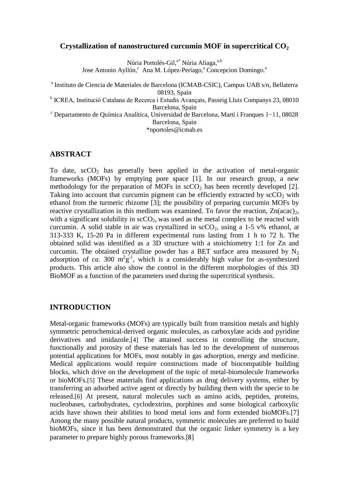### **Crystallization of nanostructured curcumin MOF in supercritical CO<sup>2</sup>**

Núria Portolés-Gil,<sup>a\*</sup> Núria Aliaga,<sup>a,b</sup>

Jose Antonio Ayllón,<sup>c</sup> Ana M. López-Periago,<sup>a</sup> Concepcion Domingo.<sup>a</sup>

a Instituto de Ciencia de Materiales de Barcelona (ICMAB-CSIC), Campus UAB s/n, Bellaterra 08193, Spain

<sup>b</sup> ICREA, Institució Catalana de Recerca i Estudis Avançats, Passeig Lluis Companys 23, 08010 Barcelona, Spain

<sup>c</sup> Departamento de Química Analítica, Universidad de Barcelona, Martí i Franques 1−11, 08028 Barcelona, Spain

\*nportoles@icmab.es

## **ABSTRACT**

To date,  $\sec 0<sub>2</sub>$  has generally been applied in the activation of metal-organic frameworks (MOFs) by emptying pore space [1]. In our research group, a new methodology for the preparation of MOFs in  $\sec O_2$  has been recently developed [2]. Taking into account that curcumin pigment can be efficiently extracted by  $\sec 0<sub>2</sub>$  with ethanol from the turmeric rhizome [3]; the possibility of preparing curcumin MOFs by reactive crystallization in this medium was examined. To favor the reaction,  $Zn(acac)_{2}$ , with a significant solubility in  $\text{scCO}_2$ , was used as the metal complex to be reacted with curcumin. A solid stable in air was crystallized in  $\sec O_2$ , using a 1-5 v% ethanol, at 313-333 K, 15-20 Pa in different experimental runs lasting from 1 h to 72 h. The obtained solid was identified as a 3D structure with a stoichiometry 1:1 for Zn and curcumin. The obtained crystalline powder has a BET surface area measured by  $N_2$ adsorption of *ca*. 300  $m^2g^{-1}$ , which is a considerably high value for as-synthesized products. This article also show the control in the different morphologies of this 3D BioMOF as a function of the parameters used during the supercritical synthesis.

## **INTRODUCTION**

Metal-organic frameworks (MOFs) are typically built from transition metals and highly symmetric petrochemical-derived organic molecules, as carboxylate acids and pyridine derivatives and imidazole.[4] The attained success in controlling the structure, functionally and porosity of these materials has led to the development of numerous potential applications for MOFs, most notably in gas adsorption, energy and medicine. Medical applications would require constructions made of biocompatible building blocks, which drive on the development of the topic of metal-biomolecule frameworks or bioMOFs.[5] These materials find applications as drug delivery systems, either by transferring an adsorbed active agent or directly by building them with the specie to be released.[6] At present, natural molecules such as amino acids, peptides, proteins, nucleobases, carbohydrates, cyclodextrins, porphines and some biological carboxylic acids have shown their abilities to bond metal ions and form extended bioMOFs.[7] Among the many possible natural products, symmetric molecules are preferred to build bioMOFs, since it has been demonstrated that the organic linker symmetry is a key parameter to prepare highly porous frameworks.[8]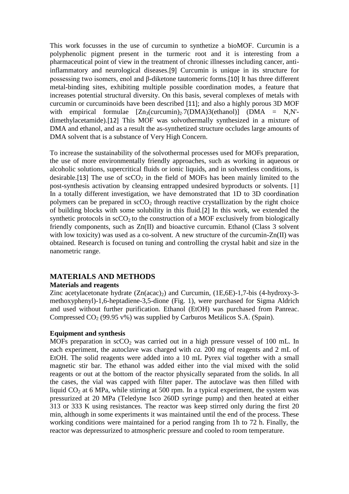This work focusses in the use of curcumin to synthetize a bioMOF. Curcumin is a polyphenolic pigment present in the turmeric root and it is interesting from a pharmaceutical point of view in the treatment of chronic illnesses including cancer, antiinflammatory and neurological diseases.[9] Curcumin is unique in its structure for possessing two isomers, enol and β-diketone tautomeric forms.[10] It has three different metal-binding sites, exhibiting multiple possible coordination modes, a feature that increases potential structural diversity. On this basis, several complexes of metals with curcumin or curcuminoids have been described [11]; and also a highly porous 3D MOF with empirical formulae  $[Zn_3(curcumin)_2.7(DMA)3(ethanol)]$  (DMA = N,N'dimethylacetamide).[12] This MOF was solvothermally synthesized in a mixture of DMA and ethanol, and as a result the as-synthetized structure occludes large amounts of DMA solvent that is a substance of Very High Concern.

To increase the sustainability of the solvothermal processes used for MOFs preparation, the use of more environmentally friendly approaches, such as working in aqueous or alcoholic solutions, supercritical fluids or ionic liquids, and in solventless conditions, is desirable.[13] The use of  $\sec 0<sub>2</sub>$  in the field of MOFs has been mainly limited to the post-synthesis activation by cleansing entrapped undesired byproducts or solvents. [1] In a totally different investigation, we have demonstrated that 1D to 3D coordination polymers can be prepared in  $\sec 0<sub>2</sub>$  through reactive crystallization by the right choice of building blocks with some solubility in this fluid.[2] In this work, we extended the synthetic protocols in  $\sec 0<sub>2</sub>$  to the construction of a MOF exclusively from biologically friendly components, such as Zn(II) and bioactive curcumin. Ethanol (Class 3 solvent with low toxicity) was used as a co-solvent. A new structure of the curcumin-Zn(II) was obtained. Research is focused on tuning and controlling the crystal habit and size in the nanometric range.

## **MATERIALS AND METHODS**

### **Materials and reagents**

Zinc acetylacetonate hydrate  $(Zn(acac)_2)$  and Curcumin,  $(1E,6E)-1,7-bis$   $(4-hydroxy-3-e)$ methoxyphenyl)-1,6-heptadiene-3,5-dione (Fig. 1), were purchased for Sigma Aldrich and used without further purification. Ethanol (EtOH) was purchased from Panreac. Compressed  $CO<sub>2</sub>$  (99.95 v%) was supplied by Carburos Metálicos S.A. (Spain).

### **Equipment and synthesis**

MOFs preparation in  $\sec O_2$  was carried out in a high pressure vessel of 100 mL. In each experiment, the autoclave was charged with *ca.* 200 mg of reagents and 2 mL of EtOH. The solid reagents were added into a 10 mL Pyrex vial together with a small magnetic stir bar. The ethanol was added either into the vial mixed with the solid reagents or out at the bottom of the reactor physically separated from the solids. In all the cases, the vial was capped with filter paper. The autoclave was then filled with liquid  $CO<sub>2</sub>$  at 6 MPa, while stirring at 500 rpm. In a typical experiment, the system was pressurized at 20 MPa (Teledyne Isco 260D syringe pump) and then heated at either 313 or 333 K using resistances. The reactor was keep stirred only during the first 20 min, although in some experiments it was maintained until the end of the process. These working conditions were maintained for a period ranging from 1h to 72 h. Finally, the reactor was depressurized to atmospheric pressure and cooled to room temperature.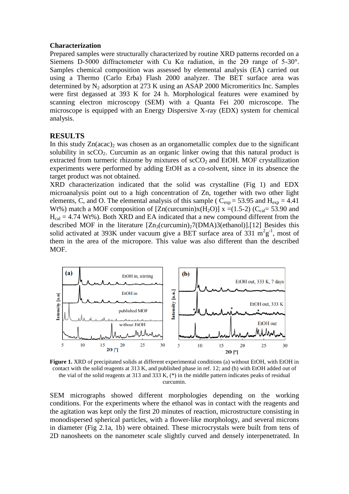#### **Characterization**

Prepared samples were structurally characterized by routine XRD patterns recorded on a Siemens D-5000 diffractometer with Cu K $\alpha$  radiation, in the 2 $\Theta$  range of 5-30°. Samples chemical composition was assessed by elemental analysis (EA) carried out using a Thermo (Carlo Erba) Flash 2000 analyzer. The BET surface area was determined by  $N_2$  adsorption at 273 K using an ASAP 2000 Micromeritics Inc. Samples were first degassed at 393 K for 24 h. Morphological features were examined by scanning electron microscopy (SEM) with a Quanta Fei 200 microscope. The microscope is equipped with an Energy Dispersive X-ray (EDX) system for chemical analysis.

### **RESULTS**

In this study  $Zn(acac)_2$  was chosen as an organometallic complex due to the significant solubility in  $\sec 0_2$ . Curcumin as an organic linker owing that this natural product is extracted from turmeric rhizome by mixtures of  $\mathrm{scCO}_2$  and EtOH. MOF crystallization experiments were performed by adding EtOH as a co-solvent, since in its absence the target product was not obtained.

XRD characterization indicated that the solid was crystalline (Fig 1) and EDX microanalysis point out to a high concentration of Zn, together with two other light elements, C, and O. The elemental analysis of this sample ( $C_{exp}$  = 53.95 and H<sub>exp</sub> = 4.41 Wt%) match a MOF composition of  $[Zn$ (curcumin)x(H<sub>2</sub>O)] x =(1.5-2) (C<sub>cal</sub>= 53.90 and  $H_{cal} = 4.74$  Wt%). Both XRD and EA indicated that a new compound different from the described MOF in the literature  $[Zn_3(curcumin)_27(DMA)3(ethanol)]$ .[12] Besides this solid activated at 393K under vacuum give a BET surface area of 331  $m^2g^{-1}$ , most of them in the area of the micropore. This value was also different than the described MOF.



**Figure 1.** XRD of precipitated solids at different experimental conditions (a) without EtOH, with EtOH in contact with the solid reagents at 313 K, and published phase in ref. 12; and (b) with EtOH added out of the vial of the solid reagents at 313 and 333 K, (\*) in the middle pattern indicates peaks of residual curcumin.

SEM micrographs showed different morphologies depending on the working conditions. For the experiments where the ethanol was in contact with the reagents and the agitation was kept only the first 20 minutes of reaction, microstructure consisting in monodispersed spherical particles, with a flower-like morphology, and several microns in diameter (Fig 2.1a, 1b) were obtained. These microcrystals were built from tens of 2D nanosheets on the nanometer scale slightly curved and densely interpenetrated. In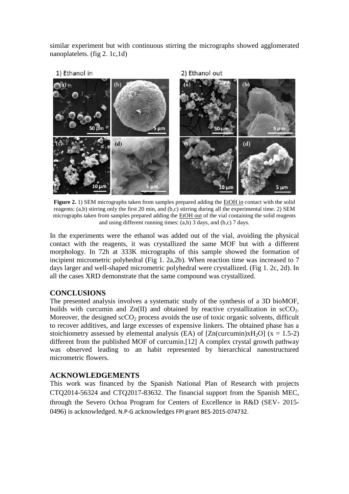similar experiment but with continuous stirring the micrographs showed agglomerated nanoplatelets. (fig 2. 1c,1d)



**Figure 2.** 1) SEM micrographs taken from samples prepared adding the EtOH in contact with the solid reagents: (a,b) stirring only the first 20 min, and (b,c) stirring during all the experimental time. 2) SEM micrographs taken from samples prepared adding the EtOH out of the vial containing the solid reagents and using different running times: (a,b) 3 days, and (b,c) 7 days.

In the experiments were the ethanol was added out of the vial, avoiding the physical contact with the reagents, it was crystallized the same MOF but with a different morphology. In 72h at 333K micrographs of this sample showed the formation of incipient micrometric polyhedral (Fig 1. 2a,2b). When reaction time was increased to 7 days larger and well-shaped micrometric polyhedral were crystallized. (Fig 1. 2c, 2d). In all the cases XRD demonstrate that the same compound was crystallized.

# **CONCLUSIONS**

The presented analysis involves a systematic study of the synthesis of a 3D bioMOF, builds with curcumin and  $Zn(II)$  and obtained by reactive crystallization in  $\text{scCO}_2$ . Moreover, the designed  $\sec O_2$  process avoids the use of toxic organic solvents, difficult to recover additives, and large excesses of expensive linkers. The obtained phase has a stoichiometry assessed by elemental analysis (EA) of  $[Zn(curcumin)xH_2O]$  (x = 1.5-2) different from the published MOF of curcumin.[12] A complex crystal growth pathway was observed leading to an habit represented by hierarchical nanostructured micrometric flowers.

## **ACKNOWLEDGEMENTS**

This work was financed by the Spanish National Plan of Research with projects CTQ2014-56324 and CTQ2017-83632. The financial support from the Spanish MEC, through the Severo Ochoa Program for Centers of Excellence in R&D (SEV- 2015- 0496) is acknowledged. N.P-G acknowledges FPI grant BES-2015-074732.